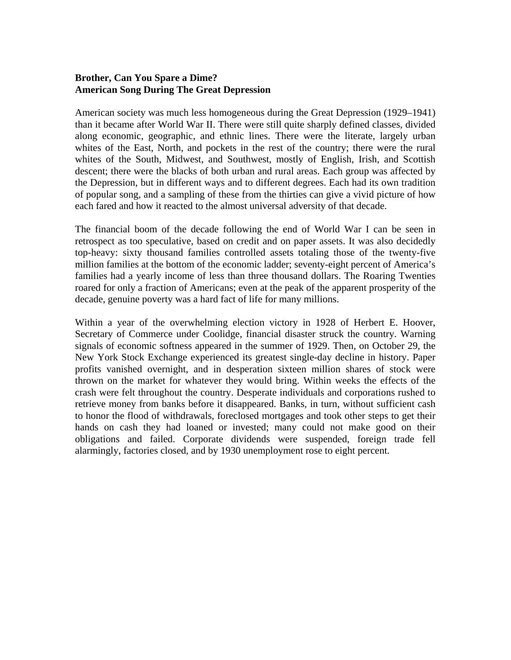## **Brother, Can You Spare a Dime? American Song During The Great Depression**

American society was much less homogeneous during the Great Depression (1929–1941) than it became after World War II. There were still quite sharply defined classes, divided along economic, geographic, and ethnic lines. There were the literate, largely urban whites of the East, North, and pockets in the rest of the country; there were the rural whites of the South, Midwest, and Southwest, mostly of English, Irish, and Scottish descent; there were the blacks of both urban and rural areas. Each group was affected by the Depression, but in different ways and to different degrees. Each had its own tradition of popular song, and a sampling of these from the thirties can give a vivid picture of how each fared and how it reacted to the almost universal adversity of that decade.

The financial boom of the decade following the end of World War I can be seen in retrospect as too speculative, based on credit and on paper assets. It was also decidedly top-heavy: sixty thousand families controlled assets totaling those of the twenty-five million families at the bottom of the economic ladder; seventy-eight percent of America's families had a yearly income of less than three thousand dollars. The Roaring Twenties roared for only a fraction of Americans; even at the peak of the apparent prosperity of the decade, genuine poverty was a hard fact of life for many millions.

Within a year of the overwhelming election victory in 1928 of Herbert E. Hoover, Secretary of Commerce under Coolidge, financial disaster struck the country. Warning signals of economic softness appeared in the summer of 1929. Then, on October 29, the New York Stock Exchange experienced its greatest single-day decline in history. Paper profits vanished overnight, and in desperation sixteen million shares of stock were thrown on the market for whatever they would bring. Within weeks the effects of the crash were felt throughout the country. Desperate individuals and corporations rushed to retrieve money from banks before it disappeared. Banks, in turn, without sufficient cash to honor the flood of withdrawals, foreclosed mortgages and took other steps to get their hands on cash they had loaned or invested; many could not make good on their obligations and failed. Corporate dividends were suspended, foreign trade fell alarmingly, factories closed, and by 1930 unemployment rose to eight percent.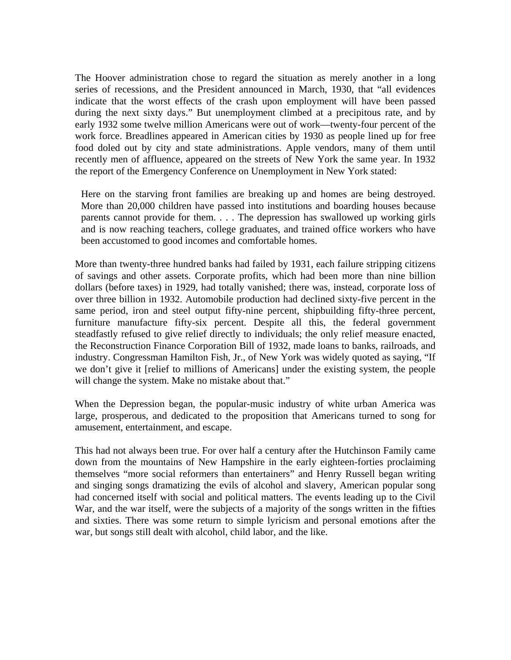The Hoover administration chose to regard the situation as merely another in a long series of recessions, and the President announced in March, 1930, that "all evidences indicate that the worst effects of the crash upon employment will have been passed during the next sixty days." But unemployment climbed at a precipitous rate, and by early 1932 some twelve million Americans were out of work—twenty-four percent of the work force. Breadlines appeared in American cities by 1930 as people lined up for free food doled out by city and state administrations. Apple vendors, many of them until recently men of affluence, appeared on the streets of New York the same year. In 1932 the report of the Emergency Conference on Unemployment in New York stated:

Here on the starving front families are breaking up and homes are being destroyed. More than 20,000 children have passed into institutions and boarding houses because parents cannot provide for them. . . . The depression has swallowed up working girls and is now reaching teachers, college graduates, and trained office workers who have been accustomed to good incomes and comfortable homes.

More than twenty-three hundred banks had failed by 1931, each failure stripping citizens of savings and other assets. Corporate profits, which had been more than nine billion dollars (before taxes) in 1929, had totally vanished; there was, instead, corporate loss of over three billion in 1932. Automobile production had declined sixty-five percent in the same period, iron and steel output fifty-nine percent, shipbuilding fifty-three percent, furniture manufacture fifty-six percent. Despite all this, the federal government steadfastly refused to give relief directly to individuals; the only relief measure enacted, the Reconstruction Finance Corporation Bill of 1932, made loans to banks, railroads, and industry. Congressman Hamilton Fish, Jr., of New York was widely quoted as saying, "If we don't give it [relief to millions of Americans] under the existing system, the people will change the system. Make no mistake about that."

When the Depression began, the popular-music industry of white urban America was large, prosperous, and dedicated to the proposition that Americans turned to song for amusement, entertainment, and escape.

This had not always been true. For over half a century after the Hutchinson Family came down from the mountains of New Hampshire in the early eighteen-forties proclaiming themselves "more social reformers than entertainers" and Henry Russell began writing and singing songs dramatizing the evils of alcohol and slavery, American popular song had concerned itself with social and political matters. The events leading up to the Civil War, and the war itself, were the subjects of a majority of the songs written in the fifties and sixties. There was some return to simple lyricism and personal emotions after the war, but songs still dealt with alcohol, child labor, and the like.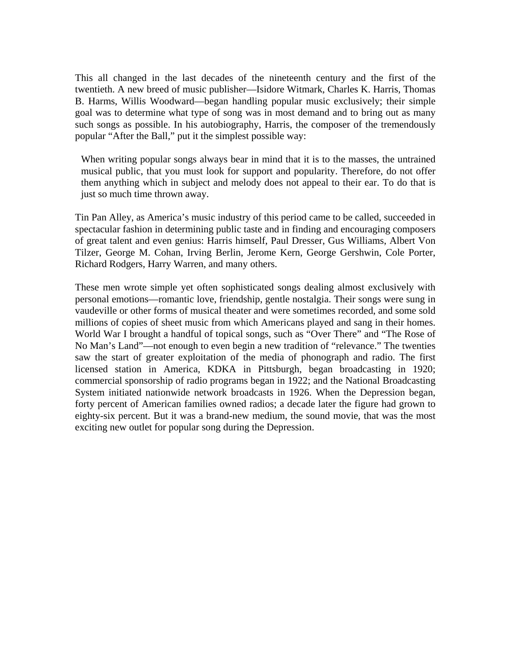This all changed in the last decades of the nineteenth century and the first of the twentieth. A new breed of music publisher—Isidore Witmark, Charles K. Harris, Thomas B. Harms, Willis Woodward—began handling popular music exclusively; their simple goal was to determine what type of song was in most demand and to bring out as many such songs as possible. In his autobiography, Harris, the composer of the tremendously popular "After the Ball," put it the simplest possible way:

When writing popular songs always bear in mind that it is to the masses, the untrained musical public, that you must look for support and popularity. Therefore, do not offer them anything which in subject and melody does not appeal to their ear. To do that is just so much time thrown away.

Tin Pan Alley, as America's music industry of this period came to be called, succeeded in spectacular fashion in determining public taste and in finding and encouraging composers of great talent and even genius: Harris himself, Paul Dresser, Gus Williams, Albert Von Tilzer, George M. Cohan, Irving Berlin, Jerome Kern, George Gershwin, Cole Porter, Richard Rodgers, Harry Warren, and many others.

These men wrote simple yet often sophisticated songs dealing almost exclusively with personal emotions—romantic love, friendship, gentle nostalgia. Their songs were sung in vaudeville or other forms of musical theater and were sometimes recorded, and some sold millions of copies of sheet music from which Americans played and sang in their homes. World War I brought a handful of topical songs, such as "Over There" and "The Rose of No Man's Land"—not enough to even begin a new tradition of "relevance." The twenties saw the start of greater exploitation of the media of phonograph and radio. The first licensed station in America, KDKA in Pittsburgh, began broadcasting in 1920; commercial sponsorship of radio programs began in 1922; and the National Broadcasting System initiated nationwide network broadcasts in 1926. When the Depression began, forty percent of American families owned radios; a decade later the figure had grown to eighty-six percent. But it was a brand-new medium, the sound movie, that was the most exciting new outlet for popular song during the Depression.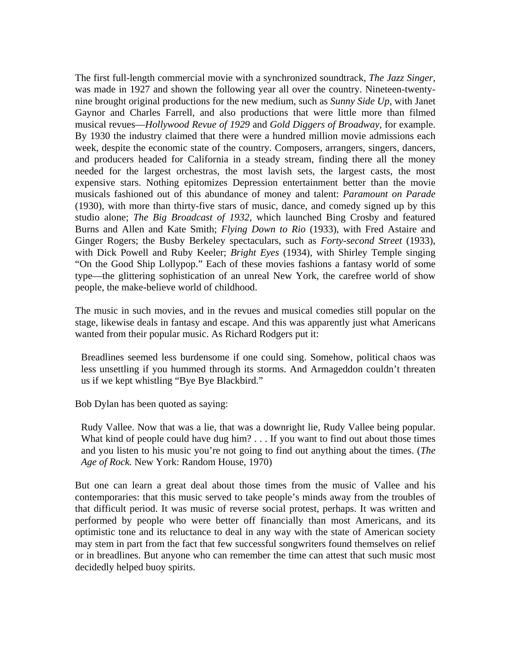The first full-length commercial movie with a synchronized soundtrack, *The Jazz Singer,* was made in 1927 and shown the following year all over the country. Nineteen-twentynine brought original productions for the new medium, such as *Sunny Side Up,* with Janet Gaynor and Charles Farrell, and also productions that were little more than filmed musical revues—*Hollywood Revue of 1929* and *Gold Diggers of Broadway,* for example. By 1930 the industry claimed that there were a hundred million movie admissions each week, despite the economic state of the country. Composers, arrangers, singers, dancers, and producers headed for California in a steady stream, finding there all the money needed for the largest orchestras, the most lavish sets, the largest casts, the most expensive stars. Nothing epitomizes Depression entertainment better than the movie musicals fashioned out of this abundance of money and talent: *Paramount on Parade* (1930), with more than thirty-five stars of music, dance, and comedy signed up by this studio alone; *The Big Broadcast of 1932,* which launched Bing Crosby and featured Burns and Allen and Kate Smith; *Flying Down to Rio* (1933), with Fred Astaire and Ginger Rogers; the Busby Berkeley spectaculars, such as *Forty-second Street* (1933), with Dick Powell and Ruby Keeler; *Bright Eyes* (1934), with Shirley Temple singing "On the Good Ship Lollypop." Each of these movies fashions a fantasy world of some type—the glittering sophistication of an unreal New York, the carefree world of show people, the make-believe world of childhood.

The music in such movies, and in the revues and musical comedies still popular on the stage, likewise deals in fantasy and escape. And this was apparently just what Americans wanted from their popular music. As Richard Rodgers put it:

Breadlines seemed less burdensome if one could sing. Somehow, political chaos was less unsettling if you hummed through its storms. And Armageddon couldn't threaten us if we kept whistling "Bye Bye Blackbird."

Bob Dylan has been quoted as saying:

Rudy Vallee. Now that was a lie, that was a downright lie, Rudy Vallee being popular. What kind of people could have dug him? . . . If you want to find out about those times and you listen to his music you're not going to find out anything about the times. (*The Age of Rock.* New York: Random House, 1970)

But one can learn a great deal about those times from the music of Vallee and his contemporaries: that this music served to take people's minds away from the troubles of that difficult period. It was music of reverse social protest, perhaps. It was written and performed by people who were better off financially than most Americans, and its optimistic tone and its reluctance to deal in any way with the state of American society may stem in part from the fact that few successful songwriters found themselves on relief or in breadlines. But anyone who can remember the time can attest that such music most decidedly helped buoy spirits.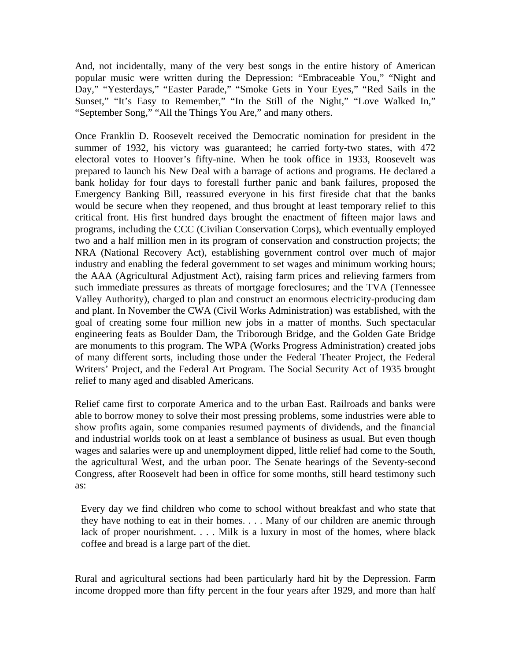And, not incidentally, many of the very best songs in the entire history of American popular music were written during the Depression: "Embraceable You," "Night and Day," "Yesterdays," "Easter Parade," "Smoke Gets in Your Eyes," "Red Sails in the Sunset," "It's Easy to Remember," "In the Still of the Night," "Love Walked In," "September Song," "All the Things You Are," and many others.

Once Franklin D. Roosevelt received the Democratic nomination for president in the summer of 1932, his victory was guaranteed; he carried forty-two states, with 472 electoral votes to Hoover's fifty-nine. When he took office in 1933, Roosevelt was prepared to launch his New Deal with a barrage of actions and programs. He declared a bank holiday for four days to forestall further panic and bank failures, proposed the Emergency Banking Bill, reassured everyone in his first fireside chat that the banks would be secure when they reopened, and thus brought at least temporary relief to this critical front. His first hundred days brought the enactment of fifteen major laws and programs, including the CCC (Civilian Conservation Corps), which eventually employed two and a half million men in its program of conservation and construction projects; the NRA (National Recovery Act), establishing government control over much of major industry and enabling the federal government to set wages and minimum working hours; the AAA (Agricultural Adjustment Act), raising farm prices and relieving farmers from such immediate pressures as threats of mortgage foreclosures; and the TVA (Tennessee Valley Authority), charged to plan and construct an enormous electricity-producing dam and plant. In November the CWA (Civil Works Administration) was established, with the goal of creating some four million new jobs in a matter of months. Such spectacular engineering feats as Boulder Dam, the Triborough Bridge, and the Golden Gate Bridge are monuments to this program. The WPA (Works Progress Administration) created jobs of many different sorts, including those under the Federal Theater Project, the Federal Writers' Project, and the Federal Art Program. The Social Security Act of 1935 brought relief to many aged and disabled Americans.

Relief came first to corporate America and to the urban East. Railroads and banks were able to borrow money to solve their most pressing problems, some industries were able to show profits again, some companies resumed payments of dividends, and the financial and industrial worlds took on at least a semblance of business as usual. But even though wages and salaries were up and unemployment dipped, little relief had come to the South, the agricultural West, and the urban poor. The Senate hearings of the Seventy-second Congress, after Roosevelt had been in office for some months, still heard testimony such as:

Every day we find children who come to school without breakfast and who state that they have nothing to eat in their homes. . . . Many of our children are anemic through lack of proper nourishment. . . . Milk is a luxury in most of the homes, where black coffee and bread is a large part of the diet.

Rural and agricultural sections had been particularly hard hit by the Depression. Farm income dropped more than fifty percent in the four years after 1929, and more than half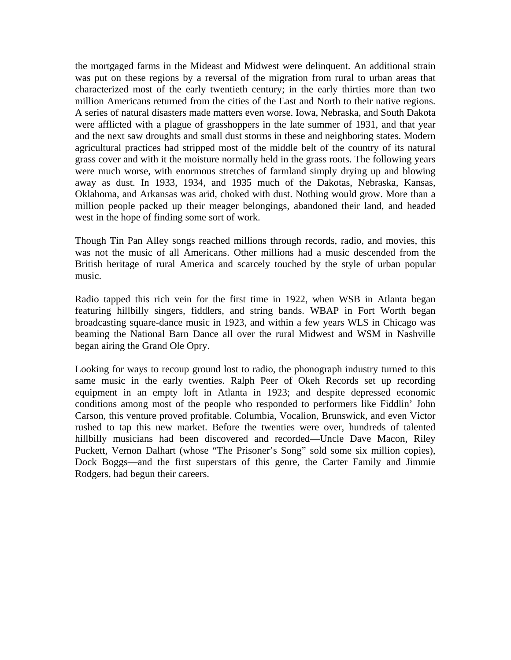the mortgaged farms in the Mideast and Midwest were delinquent. An additional strain was put on these regions by a reversal of the migration from rural to urban areas that characterized most of the early twentieth century; in the early thirties more than two million Americans returned from the cities of the East and North to their native regions. A series of natural disasters made matters even worse. Iowa, Nebraska, and South Dakota were afflicted with a plague of grasshoppers in the late summer of 1931, and that year and the next saw droughts and small dust storms in these and neighboring states. Modern agricultural practices had stripped most of the middle belt of the country of its natural grass cover and with it the moisture normally held in the grass roots. The following years were much worse, with enormous stretches of farmland simply drying up and blowing away as dust. In 1933, 1934, and 1935 much of the Dakotas, Nebraska, Kansas, Oklahoma, and Arkansas was arid, choked with dust. Nothing would grow. More than a million people packed up their meager belongings, abandoned their land, and headed west in the hope of finding some sort of work.

Though Tin Pan Alley songs reached millions through records, radio, and movies, this was not the music of all Americans. Other millions had a music descended from the British heritage of rural America and scarcely touched by the style of urban popular music.

Radio tapped this rich vein for the first time in 1922, when WSB in Atlanta began featuring hillbilly singers, fiddlers, and string bands. WBAP in Fort Worth began broadcasting square-dance music in 1923, and within a few years WLS in Chicago was beaming the National Barn Dance all over the rural Midwest and WSM in Nashville began airing the Grand Ole Opry.

Looking for ways to recoup ground lost to radio, the phonograph industry turned to this same music in the early twenties. Ralph Peer of Okeh Records set up recording equipment in an empty loft in Atlanta in 1923; and despite depressed economic conditions among most of the people who responded to performers like Fiddlin' John Carson, this venture proved profitable. Columbia, Vocalion, Brunswick, and even Victor rushed to tap this new market. Before the twenties were over, hundreds of talented hillbilly musicians had been discovered and recorded—Uncle Dave Macon, Riley Puckett, Vernon Dalhart (whose "The Prisoner's Song" sold some six million copies), Dock Boggs—and the first superstars of this genre, the Carter Family and Jimmie Rodgers, had begun their careers.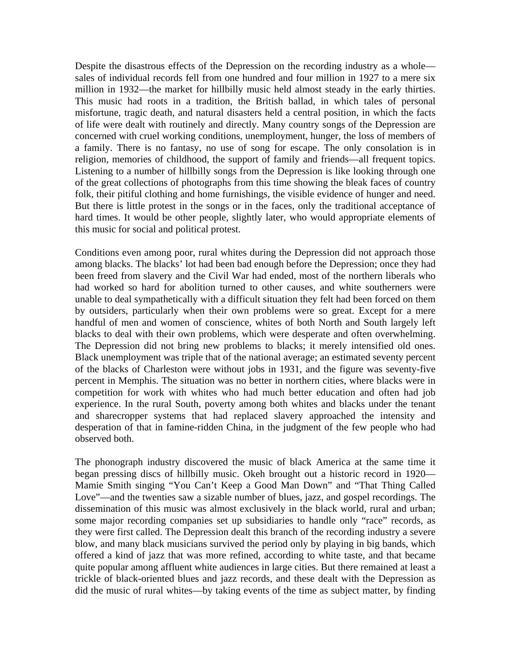Despite the disastrous effects of the Depression on the recording industry as a whole sales of individual records fell from one hundred and four million in 1927 to a mere six million in 1932—the market for hillbilly music held almost steady in the early thirties. This music had roots in a tradition, the British ballad, in which tales of personal misfortune, tragic death, and natural disasters held a central position, in which the facts of life were dealt with routinely and directly. Many country songs of the Depression are concerned with cruel working conditions, unemployment, hunger, the loss of members of a family. There is no fantasy, no use of song for escape. The only consolation is in religion, memories of childhood, the support of family and friends—all frequent topics. Listening to a number of hillbilly songs from the Depression is like looking through one of the great collections of photographs from this time showing the bleak faces of country folk, their pitiful clothing and home furnishings, the visible evidence of hunger and need. But there is little protest in the songs or in the faces, only the traditional acceptance of hard times. It would be other people, slightly later, who would appropriate elements of this music for social and political protest.

Conditions even among poor, rural whites during the Depression did not approach those among blacks. The blacks' lot had been bad enough before the Depression; once they had been freed from slavery and the Civil War had ended, most of the northern liberals who had worked so hard for abolition turned to other causes, and white southerners were unable to deal sympathetically with a difficult situation they felt had been forced on them by outsiders, particularly when their own problems were so great. Except for a mere handful of men and women of conscience, whites of both North and South largely left blacks to deal with their own problems, which were desperate and often overwhelming. The Depression did not bring new problems to blacks; it merely intensified old ones. Black unemployment was triple that of the national average; an estimated seventy percent of the blacks of Charleston were without jobs in 1931, and the figure was seventy-five percent in Memphis. The situation was no better in northern cities, where blacks were in competition for work with whites who had much better education and often had job experience. In the rural South, poverty among both whites and blacks under the tenant and sharecropper systems that had replaced slavery approached the intensity and desperation of that in famine-ridden China, in the judgment of the few people who had observed both.

The phonograph industry discovered the music of black America at the same time it began pressing discs of hillbilly music. Okeh brought out a historic record in 1920— Mamie Smith singing "You Can't Keep a Good Man Down" and "That Thing Called Love"—and the twenties saw a sizable number of blues, jazz, and gospel recordings. The dissemination of this music was almost exclusively in the black world, rural and urban; some major recording companies set up subsidiaries to handle only "race" records, as they were first called. The Depression dealt this branch of the recording industry a severe blow, and many black musicians survived the period only by playing in big bands, which offered a kind of jazz that was more refined, according to white taste, and that became quite popular among affluent white audiences in large cities. But there remained at least a trickle of black-oriented blues and jazz records, and these dealt with the Depression as did the music of rural whites—by taking events of the time as subject matter, by finding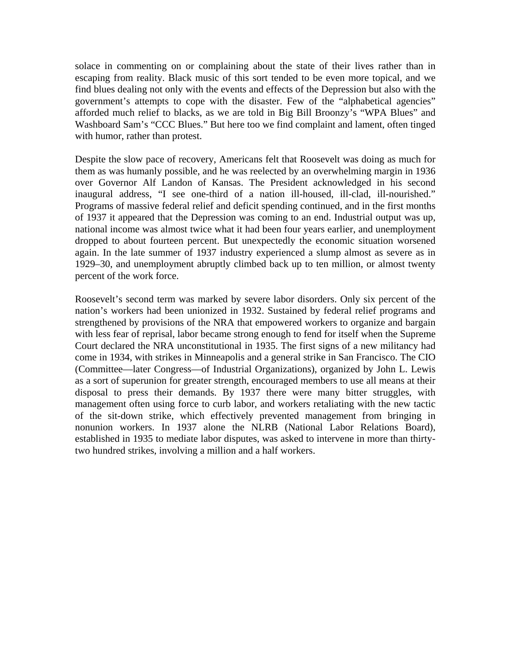solace in commenting on or complaining about the state of their lives rather than in escaping from reality. Black music of this sort tended to be even more topical, and we find blues dealing not only with the events and effects of the Depression but also with the government's attempts to cope with the disaster. Few of the "alphabetical agencies" afforded much relief to blacks, as we are told in Big Bill Broonzy's "WPA Blues" and Washboard Sam's "CCC Blues." But here too we find complaint and lament, often tinged with humor, rather than protest.

Despite the slow pace of recovery, Americans felt that Roosevelt was doing as much for them as was humanly possible, and he was reelected by an overwhelming margin in 1936 over Governor Alf Landon of Kansas. The President acknowledged in his second inaugural address, "I see one-third of a nation ill-housed, ill-clad, ill-nourished." Programs of massive federal relief and deficit spending continued, and in the first months of 1937 it appeared that the Depression was coming to an end. Industrial output was up, national income was almost twice what it had been four years earlier, and unemployment dropped to about fourteen percent. But unexpectedly the economic situation worsened again. In the late summer of 1937 industry experienced a slump almost as severe as in 1929–30, and unemployment abruptly climbed back up to ten million, or almost twenty percent of the work force.

Roosevelt's second term was marked by severe labor disorders. Only six percent of the nation's workers had been unionized in 1932. Sustained by federal relief programs and strengthened by provisions of the NRA that empowered workers to organize and bargain with less fear of reprisal, labor became strong enough to fend for itself when the Supreme Court declared the NRA unconstitutional in 1935. The first signs of a new militancy had come in 1934, with strikes in Minneapolis and a general strike in San Francisco. The CIO (Committee—later Congress—of Industrial Organizations), organized by John L. Lewis as a sort of superunion for greater strength, encouraged members to use all means at their disposal to press their demands. By 1937 there were many bitter struggles, with management often using force to curb labor, and workers retaliating with the new tactic of the sit-down strike, which effectively prevented management from bringing in nonunion workers. In 1937 alone the NLRB (National Labor Relations Board), established in 1935 to mediate labor disputes, was asked to intervene in more than thirtytwo hundred strikes, involving a million and a half workers.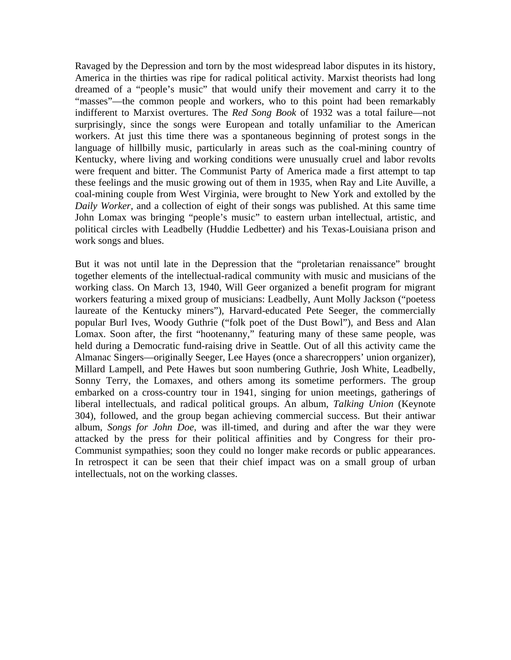Ravaged by the Depression and torn by the most widespread labor disputes in its history, America in the thirties was ripe for radical political activity. Marxist theorists had long dreamed of a "people's music" that would unify their movement and carry it to the "masses"—the common people and workers, who to this point had been remarkably indifferent to Marxist overtures. The *Red Song Book* of 1932 was a total failure—not surprisingly, since the songs were European and totally unfamiliar to the American workers. At just this time there was a spontaneous beginning of protest songs in the language of hillbilly music, particularly in areas such as the coal-mining country of Kentucky, where living and working conditions were unusually cruel and labor revolts were frequent and bitter. The Communist Party of America made a first attempt to tap these feelings and the music growing out of them in 1935, when Ray and Lite Auville, a coal-mining couple from West Virginia, were brought to New York and extolled by the *Daily Worker,* and a collection of eight of their songs was published. At this same time John Lomax was bringing "people's music" to eastern urban intellectual, artistic, and political circles with Leadbelly (Huddie Ledbetter) and his Texas-Louisiana prison and work songs and blues.

But it was not until late in the Depression that the "proletarian renaissance" brought together elements of the intellectual-radical community with music and musicians of the working class. On March 13, 1940, Will Geer organized a benefit program for migrant workers featuring a mixed group of musicians: Leadbelly, Aunt Molly Jackson ("poetess laureate of the Kentucky miners"), Harvard-educated Pete Seeger, the commercially popular Burl Ives, Woody Guthrie ("folk poet of the Dust Bowl"), and Bess and Alan Lomax. Soon after, the first "hootenanny," featuring many of these same people, was held during a Democratic fund-raising drive in Seattle. Out of all this activity came the Almanac Singers—originally Seeger, Lee Hayes (once a sharecroppers' union organizer), Millard Lampell, and Pete Hawes but soon numbering Guthrie, Josh White, Leadbelly, Sonny Terry, the Lomaxes, and others among its sometime performers. The group embarked on a cross-country tour in 1941, singing for union meetings, gatherings of liberal intellectuals, and radical political groups. An album, *Talking Union* (Keynote 304), followed, and the group began achieving commercial success. But their antiwar album, *Songs for John Doe,* was ill-timed, and during and after the war they were attacked by the press for their political affinities and by Congress for their pro-Communist sympathies; soon they could no longer make records or public appearances. In retrospect it can be seen that their chief impact was on a small group of urban intellectuals, not on the working classes.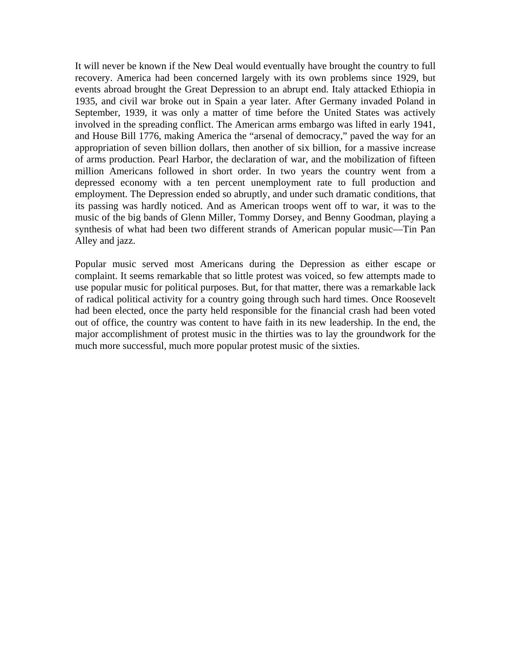It will never be known if the New Deal would eventually have brought the country to full recovery. America had been concerned largely with its own problems since 1929, but events abroad brought the Great Depression to an abrupt end. Italy attacked Ethiopia in 1935, and civil war broke out in Spain a year later. After Germany invaded Poland in September, 1939, it was only a matter of time before the United States was actively involved in the spreading conflict. The American arms embargo was lifted in early 1941, and House Bill 1776, making America the "arsenal of democracy," paved the way for an appropriation of seven billion dollars, then another of six billion, for a massive increase of arms production. Pearl Harbor, the declaration of war, and the mobilization of fifteen million Americans followed in short order. In two years the country went from a depressed economy with a ten percent unemployment rate to full production and employment. The Depression ended so abruptly, and under such dramatic conditions, that its passing was hardly noticed. And as American troops went off to war, it was to the music of the big bands of Glenn Miller, Tommy Dorsey, and Benny Goodman, playing a synthesis of what had been two different strands of American popular music—Tin Pan Alley and jazz.

Popular music served most Americans during the Depression as either escape or complaint. It seems remarkable that so little protest was voiced, so few attempts made to use popular music for political purposes. But, for that matter, there was a remarkable lack of radical political activity for a country going through such hard times. Once Roosevelt had been elected, once the party held responsible for the financial crash had been voted out of office, the country was content to have faith in its new leadership. In the end, the major accomplishment of protest music in the thirties was to lay the groundwork for the much more successful, much more popular protest music of the sixties.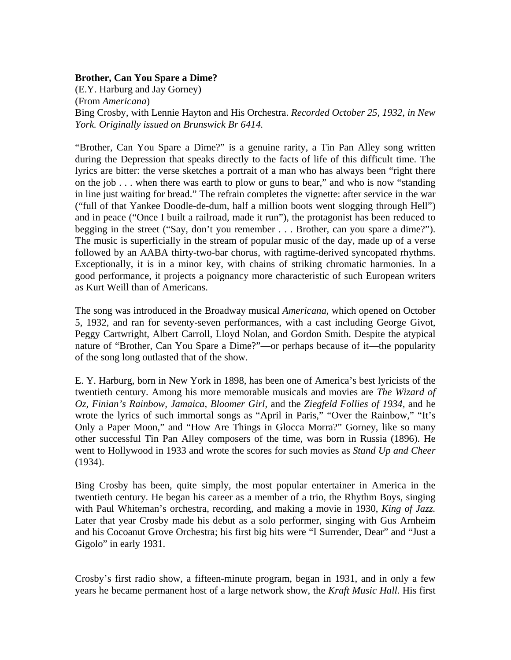# **Brother, Can You Spare a Dime?**

(E.Y. Harburg and Jay Gorney) (From *Americana*) Bing Crosby, with Lennie Hayton and His Orchestra. *Recorded October 25, 1932, in New York. Originally issued on Brunswick Br 6414.* 

"Brother, Can You Spare a Dime?" is a genuine rarity, a Tin Pan Alley song written during the Depression that speaks directly to the facts of life of this difficult time. The lyrics are bitter: the verse sketches a portrait of a man who has always been "right there on the job . . . when there was earth to plow or guns to bear," and who is now "standing in line just waiting for bread." The refrain completes the vignette: after service in the war ("full of that Yankee Doodle-de-dum, half a million boots went slogging through Hell") and in peace ("Once I built a railroad, made it run"), the protagonist has been reduced to begging in the street ("Say, don't you remember . . . Brother, can you spare a dime?"). The music is superficially in the stream of popular music of the day, made up of a verse followed by an AABA thirty-two-bar chorus, with ragtime-derived syncopated rhythms. Exceptionally, it is in a minor key, with chains of striking chromatic harmonies. In a good performance, it projects a poignancy more characteristic of such European writers as Kurt Weill than of Americans.

The song was introduced in the Broadway musical *Americana,* which opened on October 5, 1932, and ran for seventy-seven performances, with a cast including George Givot, Peggy Cartwright, Albert Carroll, Lloyd Nolan, and Gordon Smith. Despite the atypical nature of "Brother, Can You Spare a Dime?"—or perhaps because of it—the popularity of the song long outlasted that of the show.

E. Y. Harburg, born in New York in 1898, has been one of America's best lyricists of the twentieth century. Among his more memorable musicals and movies are *The Wizard of Oz, Finian's Rainbow, Jamaica, Bloomer Girl,* and the *Ziegfeld Follies of 1934,* and he wrote the lyrics of such immortal songs as "April in Paris," "Over the Rainbow," "It's Only a Paper Moon," and "How Are Things in Glocca Morra?" Gorney, like so many other successful Tin Pan Alley composers of the time, was born in Russia (1896). He went to Hollywood in 1933 and wrote the scores for such movies as *Stand Up and Cheer* (1934).

Bing Crosby has been, quite simply, the most popular entertainer in America in the twentieth century. He began his career as a member of a trio, the Rhythm Boys, singing with Paul Whiteman's orchestra, recording, and making a movie in 1930, *King of Jazz.* Later that year Crosby made his debut as a solo performer, singing with Gus Arnheim and his Cocoanut Grove Orchestra; his first big hits were "I Surrender, Dear" and "Just a Gigolo" in early 1931.

Crosby's first radio show, a fifteen-minute program, began in 1931, and in only a few years he became permanent host of a large network show, the *Kraft Music Hall.* His first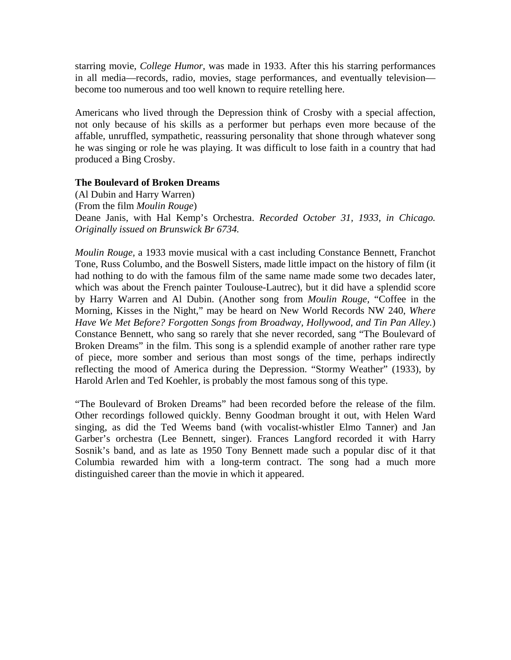starring movie, *College Humor,* was made in 1933. After this his starring performances in all media—records, radio, movies, stage performances, and eventually television become too numerous and too well known to require retelling here.

Americans who lived through the Depression think of Crosby with a special affection, not only because of his skills as a performer but perhaps even more because of the affable, unruffled, sympathetic, reassuring personality that shone through whatever song he was singing or role he was playing. It was difficult to lose faith in a country that had produced a Bing Crosby.

### **The Boulevard of Broken Dreams**

(Al Dubin and Harry Warren) (From the film *Moulin Rouge*) Deane Janis, with Hal Kemp's Orchestra. *Recorded October 31, 1933, in Chicago. Originally issued on Brunswick Br 6734.* 

*Moulin Rouge,* a 1933 movie musical with a cast including Constance Bennett, Franchot Tone, Russ Columbo, and the Boswell Sisters, made little impact on the history of film (it had nothing to do with the famous film of the same name made some two decades later, which was about the French painter Toulouse-Lautrec), but it did have a splendid score by Harry Warren and Al Dubin. (Another song from *Moulin Rouge,* "Coffee in the Morning, Kisses in the Night," may be heard on New World Records NW 240, *Where Have We Met Before? Forgotten Songs from Broadway, Hollywood, and Tin Pan Alley.*) Constance Bennett, who sang so rarely that she never recorded, sang "The Boulevard of Broken Dreams" in the film. This song is a splendid example of another rather rare type of piece, more somber and serious than most songs of the time, perhaps indirectly reflecting the mood of America during the Depression. "Stormy Weather" (1933), by Harold Arlen and Ted Koehler, is probably the most famous song of this type.

"The Boulevard of Broken Dreams" had been recorded before the release of the film. Other recordings followed quickly. Benny Goodman brought it out, with Helen Ward singing, as did the Ted Weems band (with vocalist-whistler Elmo Tanner) and Jan Garber's orchestra (Lee Bennett, singer). Frances Langford recorded it with Harry Sosnik's band, and as late as 1950 Tony Bennett made such a popular disc of it that Columbia rewarded him with a long-term contract. The song had a much more distinguished career than the movie in which it appeared.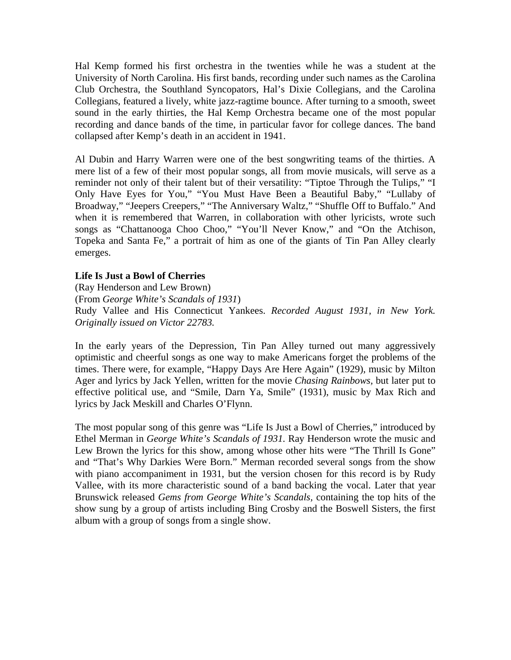Hal Kemp formed his first orchestra in the twenties while he was a student at the University of North Carolina. His first bands, recording under such names as the Carolina Club Orchestra, the Southland Syncopators, Hal's Dixie Collegians, and the Carolina Collegians, featured a lively, white jazz-ragtime bounce. After turning to a smooth, sweet sound in the early thirties, the Hal Kemp Orchestra became one of the most popular recording and dance bands of the time, in particular favor for college dances. The band collapsed after Kemp's death in an accident in 1941.

Al Dubin and Harry Warren were one of the best songwriting teams of the thirties. A mere list of a few of their most popular songs, all from movie musicals, will serve as a reminder not only of their talent but of their versatility: "Tiptoe Through the Tulips," "I Only Have Eyes for You," "You Must Have Been a Beautiful Baby," "Lullaby of Broadway," "Jeepers Creepers," "The Anniversary Waltz," "Shuffle Off to Buffalo." And when it is remembered that Warren, in collaboration with other lyricists, wrote such songs as "Chattanooga Choo Choo," "You'll Never Know," and "On the Atchison, Topeka and Santa Fe," a portrait of him as one of the giants of Tin Pan Alley clearly emerges.

# **Life Is Just a Bowl of Cherries**

(Ray Henderson and Lew Brown) (From *George White's Scandals of 1931*) Rudy Vallee and His Connecticut Yankees. *Recorded August 1931, in New York. Originally issued on Victor 22783.* 

In the early years of the Depression, Tin Pan Alley turned out many aggressively optimistic and cheerful songs as one way to make Americans forget the problems of the times. There were, for example, "Happy Days Are Here Again" (1929), music by Milton Ager and lyrics by Jack Yellen, written for the movie *Chasing Rainbows,* but later put to effective political use, and "Smile, Darn Ya, Smile" (1931), music by Max Rich and lyrics by Jack Meskill and Charles O'Flynn.

The most popular song of this genre was "Life Is Just a Bowl of Cherries," introduced by Ethel Merman in *George White's Scandals of 1931.* Ray Henderson wrote the music and Lew Brown the lyrics for this show, among whose other hits were "The Thrill Is Gone" and "That's Why Darkies Were Born." Merman recorded several songs from the show with piano accompaniment in 1931, but the version chosen for this record is by Rudy Vallee, with its more characteristic sound of a band backing the vocal. Later that year Brunswick released *Gems from George White's Scandals,* containing the top hits of the show sung by a group of artists including Bing Crosby and the Boswell Sisters, the first album with a group of songs from a single show.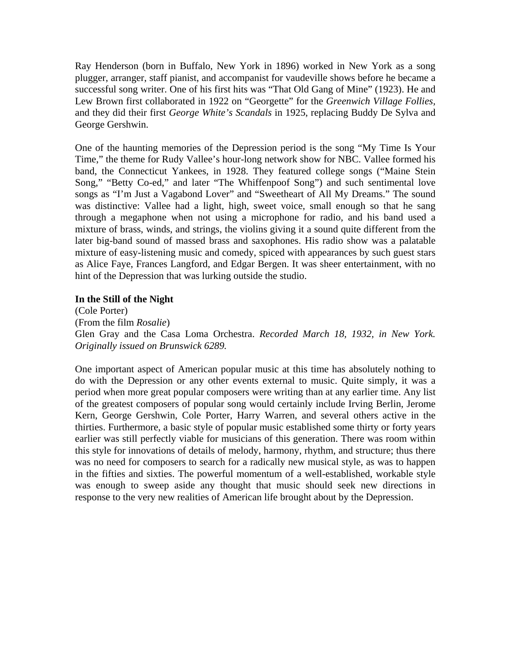Ray Henderson (born in Buffalo, New York in 1896) worked in New York as a song plugger, arranger, staff pianist, and accompanist for vaudeville shows before he became a successful song writer. One of his first hits was "That Old Gang of Mine" (1923). He and Lew Brown first collaborated in 1922 on "Georgette" for the *Greenwich Village Follies,* and they did their first *George White's Scandals* in 1925, replacing Buddy De Sylva and George Gershwin.

One of the haunting memories of the Depression period is the song "My Time Is Your Time," the theme for Rudy Vallee's hour-long network show for NBC. Vallee formed his band, the Connecticut Yankees, in 1928. They featured college songs ("Maine Stein Song," "Betty Co-ed," and later "The Whiffenpoof Song") and such sentimental love songs as "I'm Just a Vagabond Lover" and "Sweetheart of All My Dreams." The sound was distinctive: Vallee had a light, high, sweet voice, small enough so that he sang through a megaphone when not using a microphone for radio, and his band used a mixture of brass, winds, and strings, the violins giving it a sound quite different from the later big-band sound of massed brass and saxophones. His radio show was a palatable mixture of easy-listening music and comedy, spiced with appearances by such guest stars as Alice Faye, Frances Langford, and Edgar Bergen. It was sheer entertainment, with no hint of the Depression that was lurking outside the studio.

### **In the Still of the Night**

(Cole Porter) (From the film *Rosalie*) Glen Gray and the Casa Loma Orchestra. *Recorded March 18, 1932, in New York. Originally issued on Brunswick 6289.* 

One important aspect of American popular music at this time has absolutely nothing to do with the Depression or any other events external to music. Quite simply, it was a period when more great popular composers were writing than at any earlier time. Any list of the greatest composers of popular song would certainly include Irving Berlin, Jerome Kern, George Gershwin, Cole Porter, Harry Warren, and several others active in the thirties. Furthermore, a basic style of popular music established some thirty or forty years earlier was still perfectly viable for musicians of this generation. There was room within this style for innovations of details of melody, harmony, rhythm, and structure; thus there was no need for composers to search for a radically new musical style, as was to happen in the fifties and sixties. The powerful momentum of a well-established, workable style was enough to sweep aside any thought that music should seek new directions in response to the very new realities of American life brought about by the Depression.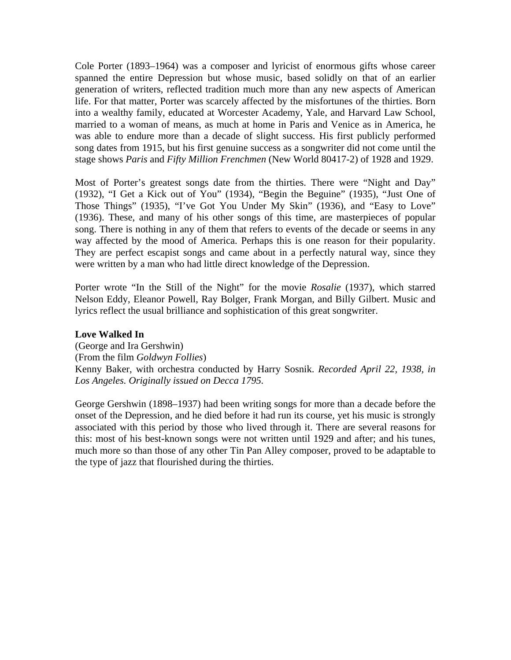Cole Porter (1893–1964) was a composer and lyricist of enormous gifts whose career spanned the entire Depression but whose music, based solidly on that of an earlier generation of writers, reflected tradition much more than any new aspects of American life. For that matter, Porter was scarcely affected by the misfortunes of the thirties. Born into a wealthy family, educated at Worcester Academy, Yale, and Harvard Law School, married to a woman of means, as much at home in Paris and Venice as in America, he was able to endure more than a decade of slight success. His first publicly performed song dates from 1915, but his first genuine success as a songwriter did not come until the stage shows *Paris* and *Fifty Million Frenchmen* (New World 80417-2) of 1928 and 1929.

Most of Porter's greatest songs date from the thirties. There were "Night and Day" (1932), "I Get a Kick out of You" (1934), "Begin the Beguine" (1935), "Just One of Those Things" (1935), "I've Got You Under My Skin" (1936), and "Easy to Love" (1936). These, and many of his other songs of this time, are masterpieces of popular song. There is nothing in any of them that refers to events of the decade or seems in any way affected by the mood of America. Perhaps this is one reason for their popularity. They are perfect escapist songs and came about in a perfectly natural way, since they were written by a man who had little direct knowledge of the Depression.

Porter wrote "In the Still of the Night" for the movie *Rosalie* (1937), which starred Nelson Eddy, Eleanor Powell, Ray Bolger, Frank Morgan, and Billy Gilbert. Music and lyrics reflect the usual brilliance and sophistication of this great songwriter.

### **Love Walked In**

(George and Ira Gershwin) (From the film *Goldwyn Follies*) Kenny Baker, with orchestra conducted by Harry Sosnik. *Recorded April 22, 1938, in Los Angeles. Originally issued on Decca 1795.* 

George Gershwin (1898–1937) had been writing songs for more than a decade before the onset of the Depression, and he died before it had run its course, yet his music is strongly associated with this period by those who lived through it. There are several reasons for this: most of his best-known songs were not written until 1929 and after; and his tunes, much more so than those of any other Tin Pan Alley composer, proved to be adaptable to the type of jazz that flourished during the thirties.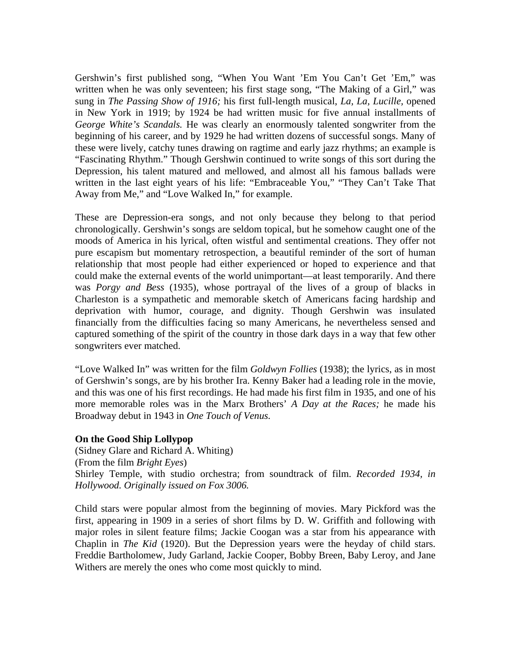Gershwin's first published song, "When You Want 'Em You Can't Get 'Em," was written when he was only seventeen; his first stage song, "The Making of a Girl," was sung in *The Passing Show of 1916;* his first full-length musical, *La, La, Lucille,* opened in New York in 1919; by 1924 be had written music for five annual installments of *George White's Scandals.* He was clearly an enormously talented songwriter from the beginning of his career, and by 1929 he had written dozens of successful songs. Many of these were lively, catchy tunes drawing on ragtime and early jazz rhythms; an example is "Fascinating Rhythm." Though Gershwin continued to write songs of this sort during the Depression, his talent matured and mellowed, and almost all his famous ballads were written in the last eight years of his life: "Embraceable You," "They Can't Take That Away from Me," and "Love Walked In," for example.

These are Depression-era songs, and not only because they belong to that period chronologically. Gershwin's songs are seldom topical, but he somehow caught one of the moods of America in his lyrical, often wistful and sentimental creations. They offer not pure escapism but momentary retrospection, a beautiful reminder of the sort of human relationship that most people had either experienced or hoped to experience and that could make the external events of the world unimportant—at least temporarily. And there was *Porgy and Bess* (1935), whose portrayal of the lives of a group of blacks in Charleston is a sympathetic and memorable sketch of Americans facing hardship and deprivation with humor, courage, and dignity. Though Gershwin was insulated financially from the difficulties facing so many Americans, he nevertheless sensed and captured something of the spirit of the country in those dark days in a way that few other songwriters ever matched.

"Love Walked In" was written for the film *Goldwyn Follies* (1938); the lyrics, as in most of Gershwin's songs, are by his brother Ira. Kenny Baker had a leading role in the movie, and this was one of his first recordings. He had made his first film in 1935, and one of his more memorable roles was in the Marx Brothers' *A Day at the Races;* he made his Broadway debut in 1943 in *One Touch of Venus.*

#### **On the Good Ship Lollypop**

(Sidney Glare and Richard A. Whiting) (From the film *Bright Eyes*) Shirley Temple, with studio orchestra; from soundtrack of film. *Recorded 1934, in Hollywood. Originally issued on Fox 3006.*

Child stars were popular almost from the beginning of movies. Mary Pickford was the first, appearing in 1909 in a series of short films by D. W. Griffith and following with major roles in silent feature films; Jackie Coogan was a star from his appearance with Chaplin in *The Kid* (1920). But the Depression years were the heyday of child stars. Freddie Bartholomew, Judy Garland, Jackie Cooper, Bobby Breen, Baby Leroy, and Jane Withers are merely the ones who come most quickly to mind.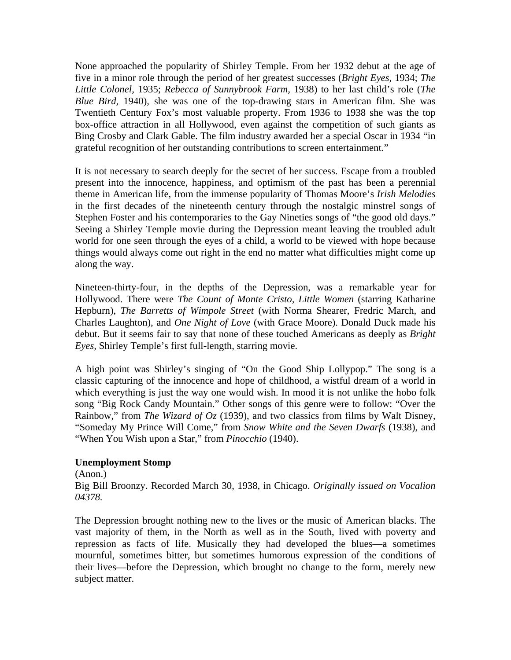None approached the popularity of Shirley Temple. From her 1932 debut at the age of five in a minor role through the period of her greatest successes (*Bright Eyes,* 1934; *The Little Colonel,* 1935; *Rebecca of Sunnybrook Farm,* 1938) to her last child's role (*The Blue Bird,* 1940), she was one of the top-drawing stars in American film. She was Twentieth Century Fox's most valuable property. From 1936 to 1938 she was the top box-office attraction in all Hollywood, even against the competition of such giants as Bing Crosby and Clark Gable. The film industry awarded her a special Oscar in 1934 "in grateful recognition of her outstanding contributions to screen entertainment."

It is not necessary to search deeply for the secret of her success. Escape from a troubled present into the innocence, happiness, and optimism of the past has been a perennial theme in American life, from the immense popularity of Thomas Moore's *Irish Melodies* in the first decades of the nineteenth century through the nostalgic minstrel songs of Stephen Foster and his contemporaries to the Gay Nineties songs of "the good old days." Seeing a Shirley Temple movie during the Depression meant leaving the troubled adult world for one seen through the eyes of a child, a world to be viewed with hope because things would always come out right in the end no matter what difficulties might come up along the way.

Nineteen-thirty-four, in the depths of the Depression, was a remarkable year for Hollywood. There were *The Count of Monte Cristo, Little Women* (starring Katharine Hepburn), *The Barretts of Wimpole Street* (with Norma Shearer, Fredric March, and Charles Laughton), and *One Night of Love* (with Grace Moore). Donald Duck made his debut. But it seems fair to say that none of these touched Americans as deeply as *Bright Eyes,* Shirley Temple's first full-length, starring movie.

A high point was Shirley's singing of "On the Good Ship Lollypop." The song is a classic capturing of the innocence and hope of childhood, a wistful dream of a world in which everything is just the way one would wish. In mood it is not unlike the hobo folk song "Big Rock Candy Mountain." Other songs of this genre were to follow: "Over the Rainbow," from *The Wizard of Oz* (1939), and two classics from films by Walt Disney, "Someday My Prince Will Come," from *Snow White and the Seven Dwarfs* (1938), and "When You Wish upon a Star," from *Pinocchio* (1940).

### **Unemployment Stomp**

(Anon.) Big Bill Broonzy. Recorded March 30, 1938, in Chicago. *Originally issued on Vocalion 04378.* 

The Depression brought nothing new to the lives or the music of American blacks. The vast majority of them, in the North as well as in the South, lived with poverty and repression as facts of life. Musically they had developed the blues—a sometimes mournful, sometimes bitter, but sometimes humorous expression of the conditions of their lives—before the Depression, which brought no change to the form, merely new subject matter.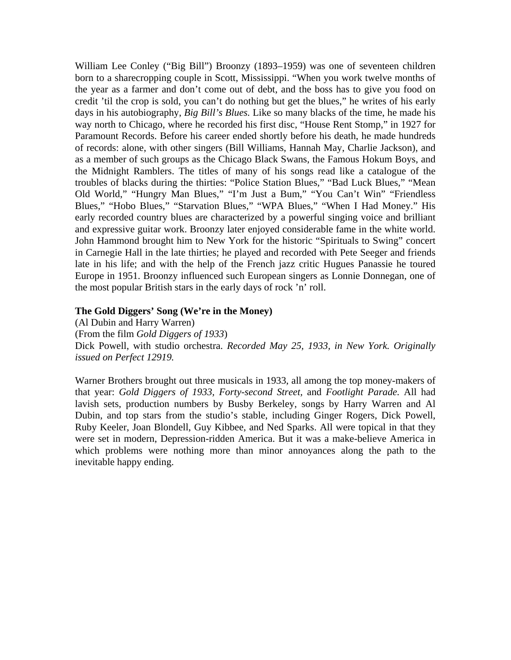William Lee Conley ("Big Bill") Broonzy (1893–1959) was one of seventeen children born to a sharecropping couple in Scott, Mississippi. "When you work twelve months of the year as a farmer and don't come out of debt, and the boss has to give you food on credit 'til the crop is sold, you can't do nothing but get the blues," he writes of his early days in his autobiography, *Big Bill's Blues.* Like so many blacks of the time, he made his way north to Chicago, where he recorded his first disc, "House Rent Stomp," in 1927 for Paramount Records. Before his career ended shortly before his death, he made hundreds of records: alone, with other singers (Bill Williams, Hannah May, Charlie Jackson), and as a member of such groups as the Chicago Black Swans, the Famous Hokum Boys, and the Midnight Ramblers. The titles of many of his songs read like a catalogue of the troubles of blacks during the thirties: "Police Station Blues," "Bad Luck Blues," "Mean Old World," "Hungry Man Blues," "I'm Just a Bum," "You Can't Win" "Friendless Blues," "Hobo Blues," "Starvation Blues," "WPA Blues," "When I Had Money." His early recorded country blues are characterized by a powerful singing voice and brilliant and expressive guitar work. Broonzy later enjoyed considerable fame in the white world. John Hammond brought him to New York for the historic "Spirituals to Swing" concert in Carnegie Hall in the late thirties; he played and recorded with Pete Seeger and friends late in his life; and with the help of the French jazz critic Hugues Panassie he toured Europe in 1951. Broonzy influenced such European singers as Lonnie Donnegan, one of the most popular British stars in the early days of rock 'n' roll.

### **The Gold Diggers' Song (We're in the Money)**

(Al Dubin and Harry Warren) (From the film *Gold Diggers of 1933*) Dick Powell, with studio orchestra. *Recorded May 25, 1933, in New York. Originally issued on Perfect 12919.* 

Warner Brothers brought out three musicals in 1933, all among the top money-makers of that year: *Gold Diggers of 1933, Forty-second Street,* and *Footlight Parade.* All had lavish sets, production numbers by Busby Berkeley, songs by Harry Warren and Al Dubin, and top stars from the studio's stable, including Ginger Rogers, Dick Powell, Ruby Keeler, Joan Blondell, Guy Kibbee, and Ned Sparks. All were topical in that they were set in modern, Depression-ridden America. But it was a make-believe America in which problems were nothing more than minor annoyances along the path to the inevitable happy ending.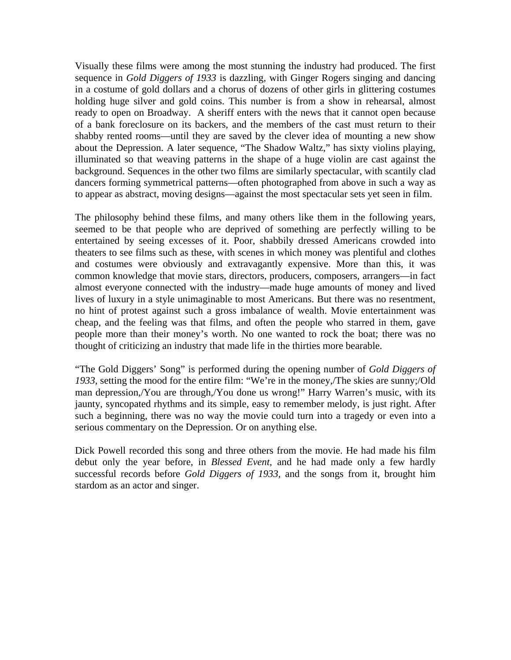Visually these films were among the most stunning the industry had produced. The first sequence in *Gold Diggers of 1933* is dazzling, with Ginger Rogers singing and dancing in a costume of gold dollars and a chorus of dozens of other girls in glittering costumes holding huge silver and gold coins. This number is from a show in rehearsal, almost ready to open on Broadway. A sheriff enters with the news that it cannot open because of a bank foreclosure on its backers, and the members of the cast must return to their shabby rented rooms—until they are saved by the clever idea of mounting a new show about the Depression. A later sequence, "The Shadow Waltz," has sixty violins playing, illuminated so that weaving patterns in the shape of a huge violin are cast against the background. Sequences in the other two films are similarly spectacular, with scantily clad dancers forming symmetrical patterns—often photographed from above in such a way as to appear as abstract, moving designs—against the most spectacular sets yet seen in film.

The philosophy behind these films, and many others like them in the following years, seemed to be that people who are deprived of something are perfectly willing to be entertained by seeing excesses of it. Poor, shabbily dressed Americans crowded into theaters to see films such as these, with scenes in which money was plentiful and clothes and costumes were obviously and extravagantly expensive. More than this, it was common knowledge that movie stars, directors, producers, composers, arrangers—in fact almost everyone connected with the industry—made huge amounts of money and lived lives of luxury in a style unimaginable to most Americans. But there was no resentment, no hint of protest against such a gross imbalance of wealth. Movie entertainment was cheap, and the feeling was that films, and often the people who starred in them, gave people more than their money's worth. No one wanted to rock the boat; there was no thought of criticizing an industry that made life in the thirties more bearable.

"The Gold Diggers' Song" is performed during the opening number of *Gold Diggers of 1933,* setting the mood for the entire film: "We're in the money,/The skies are sunny;/Old man depression,/You are through,/You done us wrong!" Harry Warren's music, with its jaunty, syncopated rhythms and its simple, easy to remember melody, is just right. After such a beginning, there was no way the movie could turn into a tragedy or even into a serious commentary on the Depression. Or on anything else.

Dick Powell recorded this song and three others from the movie. He had made his film debut only the year before, in *Blessed Event,* and he had made only a few hardly successful records before *Gold Diggers of 1933,* and the songs from it, brought him stardom as an actor and singer.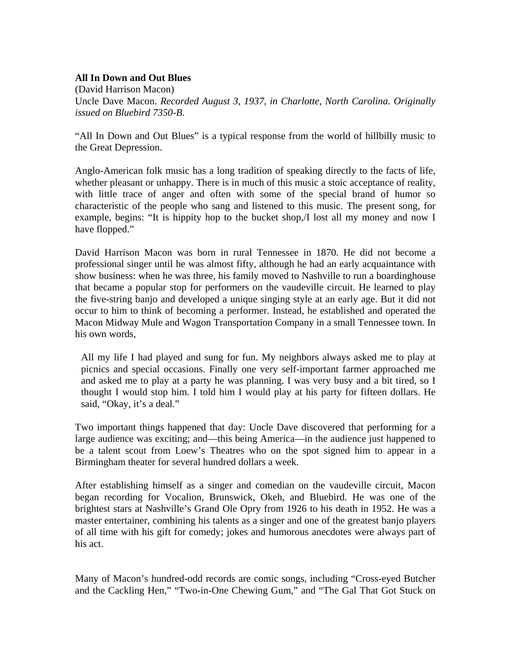# **All In Down and Out Blues**

(David Harrison Macon) Uncle Dave Macon. *Recorded August 3, 1937, in Charlotte, North Carolina. Originally issued on Bluebird 7350-B.* 

"All In Down and Out Blues" is a typical response from the world of hillbilly music to the Great Depression.

Anglo-American folk music has a long tradition of speaking directly to the facts of life, whether pleasant or unhappy. There is in much of this music a stoic acceptance of reality, with little trace of anger and often with some of the special brand of humor so characteristic of the people who sang and listened to this music. The present song, for example, begins: "It is hippity hop to the bucket shop,/I lost all my money and now I have flopped."

David Harrison Macon was born in rural Tennessee in 1870. He did not become a professional singer until he was almost fifty, although he had an early acquaintance with show business: when he was three, his family moved to Nashville to run a boardinghouse that became a popular stop for performers on the vaudeville circuit. He learned to play the five-string banjo and developed a unique singing style at an early age. But it did not occur to him to think of becoming a performer. Instead, he established and operated the Macon Midway Mule and Wagon Transportation Company in a small Tennessee town. In his own words,

All my life I had played and sung for fun. My neighbors always asked me to play at picnics and special occasions. Finally one very self-important farmer approached me and asked me to play at a party he was planning. I was very busy and a bit tired, so I thought I would stop him. I told him I would play at his party for fifteen dollars. He said, "Okay, it's a deal."

Two important things happened that day: Uncle Dave discovered that performing for a large audience was exciting; and—this being America—in the audience just happened to be a talent scout from Loew's Theatres who on the spot signed him to appear in a Birmingham theater for several hundred dollars a week.

After establishing himself as a singer and comedian on the vaudeville circuit, Macon began recording for Vocalion, Brunswick, Okeh, and Bluebird. He was one of the brightest stars at Nashville's Grand Ole Opry from 1926 to his death in 1952. He was a master entertainer, combining his talents as a singer and one of the greatest banjo players of all time with his gift for comedy; jokes and humorous anecdotes were always part of his act.

Many of Macon's hundred-odd records are comic songs, including "Cross-eyed Butcher and the Cackling Hen," "Two-in-One Chewing Gum," and "The Gal That Got Stuck on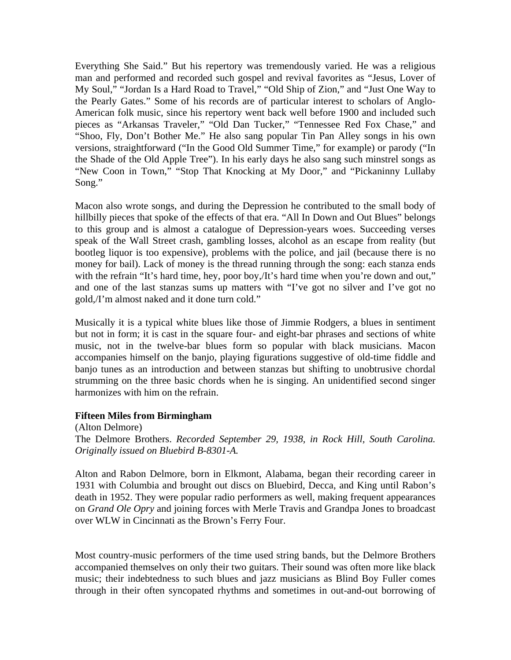Everything She Said." But his repertory was tremendously varied. He was a religious man and performed and recorded such gospel and revival favorites as "Jesus, Lover of My Soul," "Jordan Is a Hard Road to Travel," "Old Ship of Zion," and "Just One Way to the Pearly Gates." Some of his records are of particular interest to scholars of Anglo-American folk music, since his repertory went back well before 1900 and included such pieces as "Arkansas Traveler," "Old Dan Tucker," "Tennessee Red Fox Chase," and "Shoo, Fly, Don't Bother Me." He also sang popular Tin Pan Alley songs in his own versions, straightforward ("In the Good Old Summer Time," for example) or parody ("In the Shade of the Old Apple Tree"). In his early days he also sang such minstrel songs as "New Coon in Town," "Stop That Knocking at My Door," and "Pickaninny Lullaby Song."

Macon also wrote songs, and during the Depression he contributed to the small body of hillbilly pieces that spoke of the effects of that era. "All In Down and Out Blues" belongs to this group and is almost a catalogue of Depression-years woes. Succeeding verses speak of the Wall Street crash, gambling losses, alcohol as an escape from reality (but bootleg liquor is too expensive), problems with the police, and jail (because there is no money for bail). Lack of money is the thread running through the song: each stanza ends with the refrain "It's hard time, hey, poor boy,/It's hard time when you're down and out," and one of the last stanzas sums up matters with "I've got no silver and I've got no gold,/I'm almost naked and it done turn cold."

Musically it is a typical white blues like those of Jimmie Rodgers, a blues in sentiment but not in form; it is cast in the square four- and eight-bar phrases and sections of white music, not in the twelve-bar blues form so popular with black musicians. Macon accompanies himself on the banjo, playing figurations suggestive of old-time fiddle and banjo tunes as an introduction and between stanzas but shifting to unobtrusive chordal strumming on the three basic chords when he is singing. An unidentified second singer harmonizes with him on the refrain.

#### **Fifteen Miles from Birmingham**

(Alton Delmore)

The Delmore Brothers. *Recorded September 29, 1938, in Rock Hill, South Carolina. Originally issued on Bluebird B-8301-A.*

Alton and Rabon Delmore, born in Elkmont, Alabama, began their recording career in 1931 with Columbia and brought out discs on Bluebird, Decca, and King until Rabon's death in 1952. They were popular radio performers as well, making frequent appearances on *Grand Ole Opry* and joining forces with Merle Travis and Grandpa Jones to broadcast over WLW in Cincinnati as the Brown's Ferry Four.

Most country-music performers of the time used string bands, but the Delmore Brothers accompanied themselves on only their two guitars. Their sound was often more like black music; their indebtedness to such blues and jazz musicians as Blind Boy Fuller comes through in their often syncopated rhythms and sometimes in out-and-out borrowing of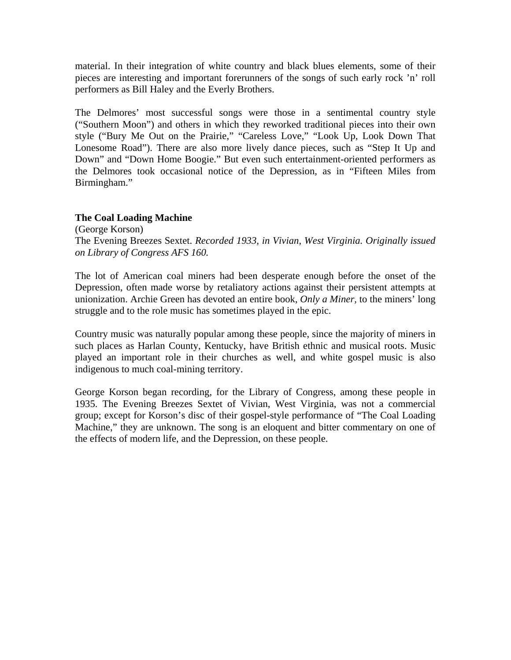material. In their integration of white country and black blues elements, some of their pieces are interesting and important forerunners of the songs of such early rock 'n' roll performers as Bill Haley and the Everly Brothers.

The Delmores' most successful songs were those in a sentimental country style ("Southern Moon") and others in which they reworked traditional pieces into their own style ("Bury Me Out on the Prairie," "Careless Love," "Look Up, Look Down That Lonesome Road"). There are also more lively dance pieces, such as "Step It Up and Down" and "Down Home Boogie." But even such entertainment-oriented performers as the Delmores took occasional notice of the Depression, as in "Fifteen Miles from Birmingham."

### **The Coal Loading Machine**

(George Korson) The Evening Breezes Sextet. *Recorded 1933, in Vivian, West Virginia. Originally issued on Library of Congress AFS 160.* 

The lot of American coal miners had been desperate enough before the onset of the Depression, often made worse by retaliatory actions against their persistent attempts at unionization. Archie Green has devoted an entire book, *Only a Miner,* to the miners' long struggle and to the role music has sometimes played in the epic.

Country music was naturally popular among these people, since the majority of miners in such places as Harlan County, Kentucky, have British ethnic and musical roots. Music played an important role in their churches as well, and white gospel music is also indigenous to much coal-mining territory.

George Korson began recording, for the Library of Congress, among these people in 1935. The Evening Breezes Sextet of Vivian, West Virginia, was not a commercial group; except for Korson's disc of their gospel-style performance of "The Coal Loading Machine," they are unknown. The song is an eloquent and bitter commentary on one of the effects of modern life, and the Depression, on these people.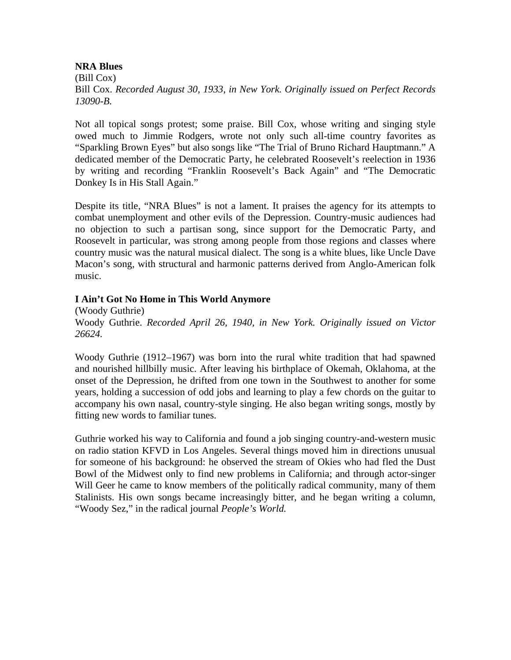### **NRA Blues**

(Bill Cox) Bill Cox. *Recorded August 30, 1933, in New York. Originally issued on Perfect Records 13090-B.* 

Not all topical songs protest; some praise. Bill Cox, whose writing and singing style owed much to Jimmie Rodgers, wrote not only such all-time country favorites as "Sparkling Brown Eyes" but also songs like "The Trial of Bruno Richard Hauptmann." A dedicated member of the Democratic Party, he celebrated Roosevelt's reelection in 1936 by writing and recording "Franklin Roosevelt's Back Again" and "The Democratic Donkey Is in His Stall Again."

Despite its title, "NRA Blues" is not a lament. It praises the agency for its attempts to combat unemployment and other evils of the Depression. Country-music audiences had no objection to such a partisan song, since support for the Democratic Party, and Roosevelt in particular, was strong among people from those regions and classes where country music was the natural musical dialect. The song is a white blues, like Uncle Dave Macon's song, with structural and harmonic patterns derived from Anglo-American folk music.

### **I Ain't Got No Home in This World Anymore**

(Woody Guthrie) Woody Guthrie. *Recorded April 26, 1940, in New York. Originally issued on Victor 26624.* 

Woody Guthrie (1912–1967) was born into the rural white tradition that had spawned and nourished hillbilly music. After leaving his birthplace of Okemah, Oklahoma, at the onset of the Depression, he drifted from one town in the Southwest to another for some years, holding a succession of odd jobs and learning to play a few chords on the guitar to accompany his own nasal, country-style singing. He also began writing songs, mostly by fitting new words to familiar tunes.

Guthrie worked his way to California and found a job singing country-and-western music on radio station KFVD in Los Angeles. Several things moved him in directions unusual for someone of his background: he observed the stream of Okies who had fled the Dust Bowl of the Midwest only to find new problems in California; and through actor-singer Will Geer he came to know members of the politically radical community, many of them Stalinists. His own songs became increasingly bitter, and he began writing a column, "Woody Sez," in the radical journal *People's World.*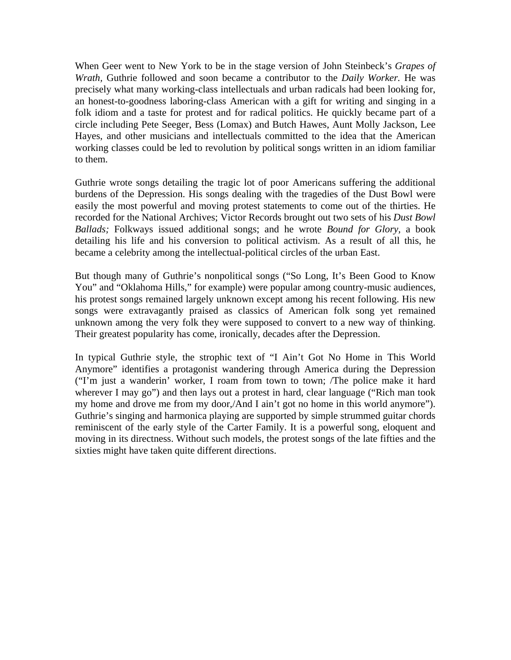When Geer went to New York to be in the stage version of John Steinbeck's *Grapes of Wrath,* Guthrie followed and soon became a contributor to the *Daily Worker.* He was precisely what many working-class intellectuals and urban radicals had been looking for, an honest-to-goodness laboring-class American with a gift for writing and singing in a folk idiom and a taste for protest and for radical politics. He quickly became part of a circle including Pete Seeger, Bess (Lomax) and Butch Hawes, Aunt Molly Jackson, Lee Hayes, and other musicians and intellectuals committed to the idea that the American working classes could be led to revolution by political songs written in an idiom familiar to them.

Guthrie wrote songs detailing the tragic lot of poor Americans suffering the additional burdens of the Depression. His songs dealing with the tragedies of the Dust Bowl were easily the most powerful and moving protest statements to come out of the thirties. He recorded for the National Archives; Victor Records brought out two sets of his *Dust Bowl Ballads;* Folkways issued additional songs; and he wrote *Bound for Glory,* a book detailing his life and his conversion to political activism. As a result of all this, he became a celebrity among the intellectual-political circles of the urban East.

But though many of Guthrie's nonpolitical songs ("So Long, It's Been Good to Know You" and "Oklahoma Hills," for example) were popular among country-music audiences, his protest songs remained largely unknown except among his recent following. His new songs were extravagantly praised as classics of American folk song yet remained unknown among the very folk they were supposed to convert to a new way of thinking. Their greatest popularity has come, ironically, decades after the Depression.

In typical Guthrie style, the strophic text of "I Ain't Got No Home in This World Anymore" identifies a protagonist wandering through America during the Depression ("I'm just a wanderin' worker, I roam from town to town; /The police make it hard wherever I may go") and then lays out a protest in hard, clear language ("Rich man took my home and drove me from my door,/And I ain't got no home in this world anymore"). Guthrie's singing and harmonica playing are supported by simple strummed guitar chords reminiscent of the early style of the Carter Family. It is a powerful song, eloquent and moving in its directness. Without such models, the protest songs of the late fifties and the sixties might have taken quite different directions.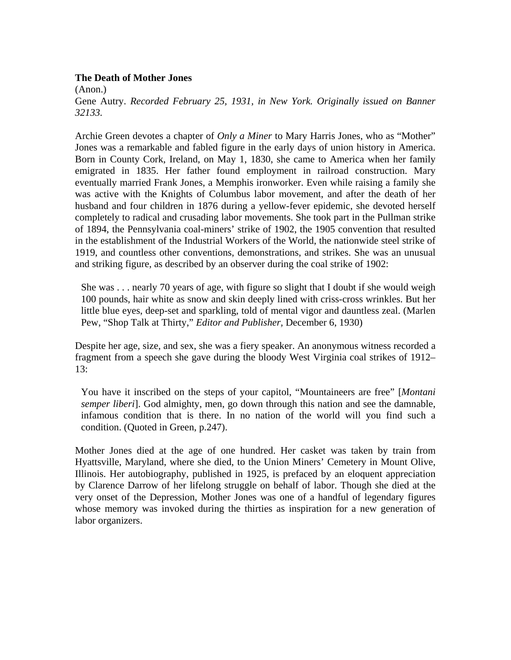## **The Death of Mother Jones**

(Anon.) Gene Autry. *Recorded February 25, 1931, in New York. Originally issued on Banner 32133.* 

Archie Green devotes a chapter of *Only a Miner* to Mary Harris Jones, who as "Mother" Jones was a remarkable and fabled figure in the early days of union history in America. Born in County Cork, Ireland, on May 1, 1830, she came to America when her family emigrated in 1835. Her father found employment in railroad construction. Mary eventually married Frank Jones, a Memphis ironworker. Even while raising a family she was active with the Knights of Columbus labor movement, and after the death of her husband and four children in 1876 during a yellow-fever epidemic, she devoted herself completely to radical and crusading labor movements. She took part in the Pullman strike of 1894, the Pennsylvania coal-miners' strike of 1902, the 1905 convention that resulted in the establishment of the Industrial Workers of the World, the nationwide steel strike of 1919, and countless other conventions, demonstrations, and strikes. She was an unusual and striking figure, as described by an observer during the coal strike of 1902:

She was . . . nearly 70 years of age, with figure so slight that I doubt if she would weigh 100 pounds, hair white as snow and skin deeply lined with criss-cross wrinkles. But her little blue eyes, deep-set and sparkling, told of mental vigor and dauntless zeal. (Marlen Pew, "Shop Talk at Thirty," *Editor and Publisher,* December 6, 1930)

Despite her age, size, and sex, she was a fiery speaker. An anonymous witness recorded a fragment from a speech she gave during the bloody West Virginia coal strikes of 1912– 13:

You have it inscribed on the steps of your capitol, "Mountaineers are free" [*Montani semper liberi*]. God almighty, men, go down through this nation and see the damnable, infamous condition that is there. In no nation of the world will you find such a condition. (Quoted in Green, p.247).

Mother Jones died at the age of one hundred. Her casket was taken by train from Hyattsville, Maryland, where she died, to the Union Miners' Cemetery in Mount Olive, Illinois. Her autobiography, published in 1925, is prefaced by an eloquent appreciation by Clarence Darrow of her lifelong struggle on behalf of labor. Though she died at the very onset of the Depression, Mother Jones was one of a handful of legendary figures whose memory was invoked during the thirties as inspiration for a new generation of labor organizers.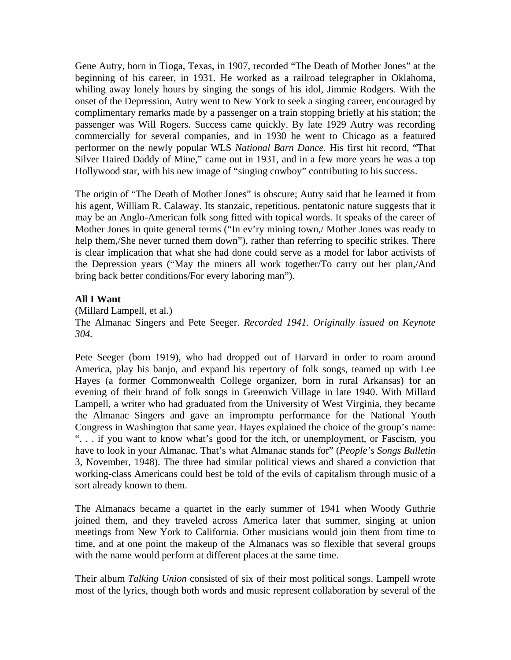Gene Autry, born in Tioga, Texas, in 1907, recorded "The Death of Mother Jones" at the beginning of his career, in 1931. He worked as a railroad telegrapher in Oklahoma, whiling away lonely hours by singing the songs of his idol, Jimmie Rodgers. With the onset of the Depression, Autry went to New York to seek a singing career, encouraged by complimentary remarks made by a passenger on a train stopping briefly at his station; the passenger was Will Rogers. Success came quickly. By late 1929 Autry was recording commercially for several companies, and in 1930 he went to Chicago as a featured performer on the newly popular WLS *National Barn Dance.* His first hit record, "That Silver Haired Daddy of Mine," came out in 1931, and in a few more years he was a top Hollywood star, with his new image of "singing cowboy" contributing to his success.

The origin of "The Death of Mother Jones" is obscure; Autry said that he learned it from his agent, William R. Calaway. Its stanzaic, repetitious, pentatonic nature suggests that it may be an Anglo-American folk song fitted with topical words. It speaks of the career of Mother Jones in quite general terms ("In ev'ry mining town,/ Mother Jones was ready to help them,/She never turned them down"), rather than referring to specific strikes. There is clear implication that what she had done could serve as a model for labor activists of the Depression years ("May the miners all work together/To carry out her plan,/And bring back better conditions/For every laboring man").

# **All I Want**

(Millard Lampell, et al.) The Almanac Singers and Pete Seeger. *Recorded 1941. Originally issued on Keynote 304.* 

Pete Seeger (born 1919), who had dropped out of Harvard in order to roam around America, play his banjo, and expand his repertory of folk songs, teamed up with Lee Hayes (a former Commonwealth College organizer, born in rural Arkansas) for an evening of their brand of folk songs in Greenwich Village in late 1940. With Millard Lampell, a writer who had graduated from the University of West Virginia, they became the Almanac Singers and gave an impromptu performance for the National Youth Congress in Washington that same year. Hayes explained the choice of the group's name: ". . . if you want to know what's good for the itch, or unemployment, or Fascism, you have to look in your Almanac. That's what Almanac stands for" (*People's Songs Bulletin* 3, November, 1948). The three had similar political views and shared a conviction that working-class Americans could best be told of the evils of capitalism through music of a sort already known to them.

The Almanacs became a quartet in the early summer of 1941 when Woody Guthrie joined them, and they traveled across America later that summer, singing at union meetings from New York to California. Other musicians would join them from time to time, and at one point the makeup of the Almanacs was so flexible that several groups with the name would perform at different places at the same time.

Their album *Talking Union* consisted of six of their most political songs. Lampell wrote most of the lyrics, though both words and music represent collaboration by several of the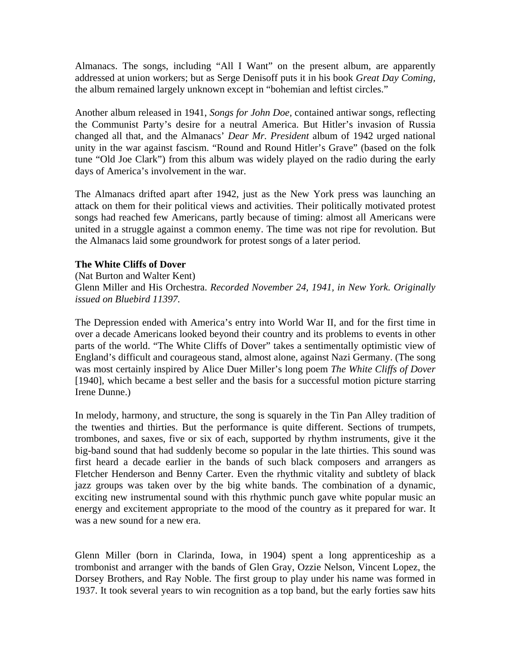Almanacs. The songs, including "All I Want" on the present album, are apparently addressed at union workers; but as Serge Denisoff puts it in his book *Great Day Coming,* the album remained largely unknown except in "bohemian and leftist circles."

Another album released in 1941, *Songs for John Doe,* contained antiwar songs, reflecting the Communist Party's desire for a neutral America. But Hitler's invasion of Russia changed all that, and the Almanacs' *Dear Mr. President* album of 1942 urged national unity in the war against fascism. "Round and Round Hitler's Grave" (based on the folk tune "Old Joe Clark") from this album was widely played on the radio during the early days of America's involvement in the war.

The Almanacs drifted apart after 1942, just as the New York press was launching an attack on them for their political views and activities. Their politically motivated protest songs had reached few Americans, partly because of timing: almost all Americans were united in a struggle against a common enemy. The time was not ripe for revolution. But the Almanacs laid some groundwork for protest songs of a later period.

# **The White Cliffs of Dover**

(Nat Burton and Walter Kent) Glenn Miller and His Orchestra. *Recorded November 24, 1941, in New York. Originally issued on Bluebird 11397.* 

The Depression ended with America's entry into World War II, and for the first time in over a decade Americans looked beyond their country and its problems to events in other parts of the world. "The White Cliffs of Dover" takes a sentimentally optimistic view of England's difficult and courageous stand, almost alone, against Nazi Germany. (The song was most certainly inspired by Alice Duer Miller's long poem *The White Cliffs of Dover* [1940], which became a best seller and the basis for a successful motion picture starring Irene Dunne.)

In melody, harmony, and structure, the song is squarely in the Tin Pan Alley tradition of the twenties and thirties. But the performance is quite different. Sections of trumpets, trombones, and saxes, five or six of each, supported by rhythm instruments, give it the big-band sound that had suddenly become so popular in the late thirties. This sound was first heard a decade earlier in the bands of such black composers and arrangers as Fletcher Henderson and Benny Carter. Even the rhythmic vitality and subtlety of black jazz groups was taken over by the big white bands. The combination of a dynamic, exciting new instrumental sound with this rhythmic punch gave white popular music an energy and excitement appropriate to the mood of the country as it prepared for war. It was a new sound for a new era.

Glenn Miller (born in Clarinda, Iowa, in 1904) spent a long apprenticeship as a trombonist and arranger with the bands of Glen Gray, Ozzie Nelson, Vincent Lopez, the Dorsey Brothers, and Ray Noble. The first group to play under his name was formed in 1937. It took several years to win recognition as a top band, but the early forties saw hits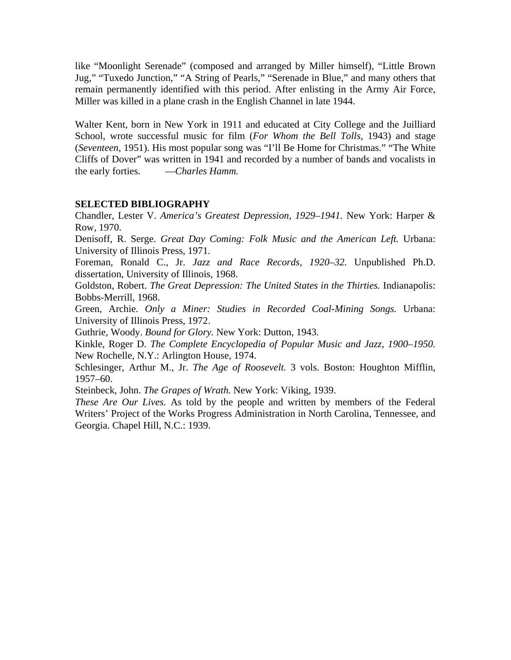like "Moonlight Serenade" (composed and arranged by Miller himself), "Little Brown Jug," "Tuxedo Junction," "A String of Pearls," "Serenade in Blue," and many others that remain permanently identified with this period. After enlisting in the Army Air Force, Miller was killed in a plane crash in the English Channel in late 1944.

Walter Kent, born in New York in 1911 and educated at City College and the Juilliard School, wrote successful music for film (*For Whom the Bell Tolls,* 1943) and stage (*Seventeen,* 1951). His most popular song was "I'll Be Home for Christmas." "The White Cliffs of Dover" was written in 1941 and recorded by a number of bands and vocalists in the early forties. —*Charles Hamm.* 

# **SELECTED BIBLIOGRAPHY**

Chandler, Lester V. *America's Greatest Depression, 1929–1941.* New York: Harper & Row, 1970.

Denisoff, R. Serge. *Great Day Coming: Folk Music and the American Left.* Urbana: University of Illinois Press, 1971.

Foreman, Ronald C., Jr. *Jazz and Race Records, 1920–32.* Unpublished Ph.D. dissertation, University of Illinois, 1968.

Goldston, Robert. *The Great Depression: The United States in the Thirties.* Indianapolis: Bobbs-Merrill, 1968.

Green, Archie. *Only a Miner: Studies in Recorded Coal-Mining Songs.* Urbana: University of Illinois Press, 1972.

Guthrie, Woody. *Bound for Glory.* New York: Dutton, 1943.

Kinkle, Roger D. *The Complete Encyclopedia of Popular Music and Jazz, 1900–1950.* New Rochelle, N.Y.: Arlington House, 1974.

Schlesinger, Arthur M., Jr. *The Age of Roosevelt.* 3 vols. Boston: Houghton Mifflin, 1957–60.

Steinbeck, John. *The Grapes of Wrath.* New York: Viking, 1939.

*These Are Our Lives.* As told by the people and written by members of the Federal Writers' Project of the Works Progress Administration in North Carolina, Tennessee, and Georgia. Chapel Hill, N.C.: 1939.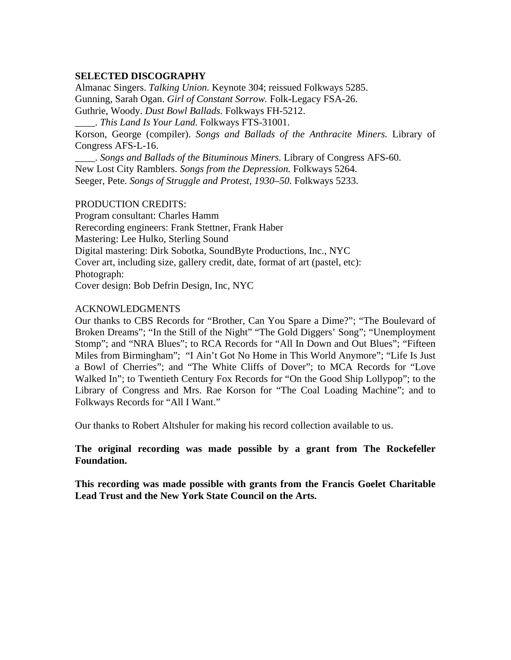### **SELECTED DISCOGRAPHY**

Almanac Singers. *Talking Union.* Keynote 304; reissued Folkways 5285. Gunning, Sarah Ogan. *Girl of Constant Sorrow.* Folk-Legacy FSA-26. Guthrie, Woody. *Dust Bowl Ballads.* Folkways FH-5212. \_\_\_\_. *This Land Is Your Land.* Folkways FTS-31001.

Korson, George (compiler). *Songs and Ballads of the Anthracite Miners.* Library of Congress AFS-L-16.

\_\_\_\_. *Songs and Ballads of the Bituminous Miners.* Library of Congress AFS-60. New Lost City Ramblers. *Songs from the Depression.* Folkways 5264. Seeger, Pete. *Songs of Struggle and Protest, 1930–50.* Folkways 5233.

#### PRODUCTION CREDITS:

Program consultant: Charles Hamm Rerecording engineers: Frank Stettner, Frank Haber Mastering: Lee Hulko, Sterling Sound Digital mastering: Dirk Sobotka, SoundByte Productions, Inc., NYC Cover art, including size, gallery credit, date, format of art (pastel, etc): Photograph: Cover design: Bob Defrin Design, Inc, NYC

#### ACKNOWLEDGMENTS

Our thanks to CBS Records for "Brother, Can You Spare a Dime?"; "The Boulevard of Broken Dreams"; "In the Still of the Night" "The Gold Diggers' Song"; "Unemployment" Stomp"; and "NRA Blues"; to RCA Records for "All In Down and Out Blues"; "Fifteen Miles from Birmingham"; "I Ain't Got No Home in This World Anymore"; "Life Is Just a Bowl of Cherries"; and "The White Cliffs of Dover"; to MCA Records for "Love Walked In"; to Twentieth Century Fox Records for "On the Good Ship Lollypop"; to the Library of Congress and Mrs. Rae Korson for "The Coal Loading Machine"; and to Folkways Records for "All I Want."

Our thanks to Robert Altshuler for making his record collection available to us.

**The original recording was made possible by a grant from The Rockefeller Foundation.** 

**This recording was made possible with grants from the Francis Goelet Charitable Lead Trust and the New York State Council on the Arts.**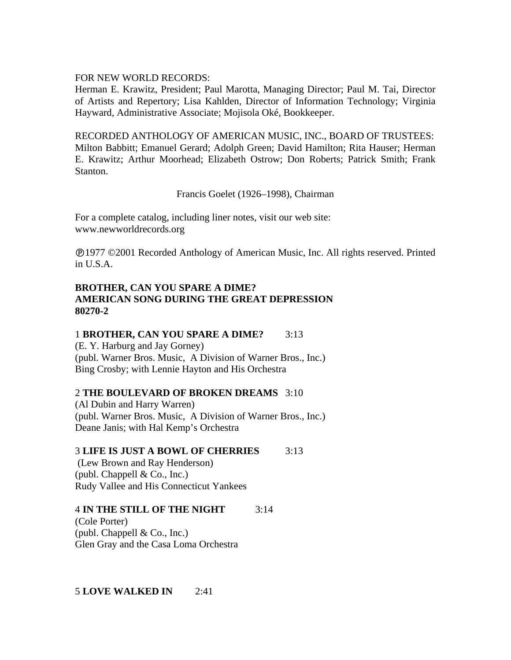FOR NEW WORLD RECORDS:

Herman E. Krawitz, President; Paul Marotta, Managing Director; Paul M. Tai, Director of Artists and Repertory; Lisa Kahlden, Director of Information Technology; Virginia Hayward, Administrative Associate; Mojisola Oké, Bookkeeper.

RECORDED ANTHOLOGY OF AMERICAN MUSIC, INC., BOARD OF TRUSTEES: Milton Babbitt; Emanuel Gerard; Adolph Green; David Hamilton; Rita Hauser; Herman E. Krawitz; Arthur Moorhead; Elizabeth Ostrow; Don Roberts; Patrick Smith; Frank Stanton.

Francis Goelet (1926–1998), Chairman

For a complete catalog, including liner notes, visit our web site: www.newworldrecords.org

!1977 ©2001 Recorded Anthology of American Music, Inc. All rights reserved. Printed in U.S.A.

# **BROTHER, CAN YOU SPARE A DIME? AMERICAN SONG DURING THE GREAT DEPRESSION 80270-2**

## 1 **BROTHER, CAN YOU SPARE A DIME?** 3:13

(E. Y. Harburg and Jay Gorney) (publ. Warner Bros. Music, A Division of Warner Bros., Inc.) Bing Crosby; with Lennie Hayton and His Orchestra

### 2 **THE BOULEVARD OF BROKEN DREAMS** 3:10

(Al Dubin and Harry Warren) (publ. Warner Bros. Music, A Division of Warner Bros., Inc.) Deane Janis; with Hal Kemp's Orchestra

### 3 **LIFE IS JUST A BOWL OF CHERRIES** 3:13

 (Lew Brown and Ray Henderson) (publ. Chappell & Co., Inc.) Rudy Vallee and His Connecticut Yankees

# 4 **IN THE STILL OF THE NIGHT** 3:14

(Cole Porter) (publ. Chappell & Co., Inc.) Glen Gray and the Casa Loma Orchestra

5 **LOVE WALKED IN** 2:41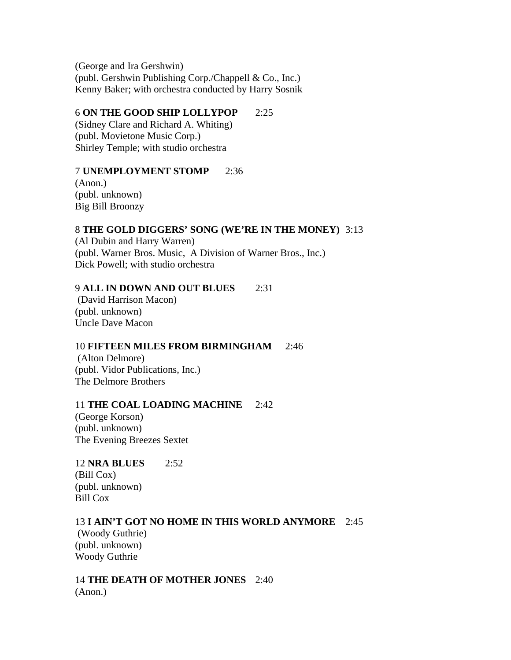(George and Ira Gershwin) (publ. Gershwin Publishing Corp./Chappell & Co., Inc.) Kenny Baker; with orchestra conducted by Harry Sosnik

### 6 **ON THE GOOD SHIP LOLLYPOP** 2:25

(Sidney Clare and Richard A. Whiting) (publ. Movietone Music Corp.) Shirley Temple; with studio orchestra

### 7 **UNEMPLOYMENT STOMP** 2:36

(Anon.) (publ. unknown) Big Bill Broonzy

### 8 **THE GOLD DIGGERS' SONG (WE'RE IN THE MONEY)** 3:13

(Al Dubin and Harry Warren) (publ. Warner Bros. Music, A Division of Warner Bros., Inc.) Dick Powell; with studio orchestra

### 9 **ALL IN DOWN AND OUT BLUES** 2:31

 (David Harrison Macon) (publ. unknown) Uncle Dave Macon

### 10 **FIFTEEN MILES FROM BIRMINGHAM** 2:46

 (Alton Delmore) (publ. Vidor Publications, Inc.) The Delmore Brothers

### 11 **THE COAL LOADING MACHINE** 2:42

(George Korson) (publ. unknown) The Evening Breezes Sextet

### 12 **NRA BLUES** 2:52

(Bill Cox) (publ. unknown) Bill Cox

### 13 **I AIN'T GOT NO HOME IN THIS WORLD ANYMORE** 2:45

 (Woody Guthrie) (publ. unknown) Woody Guthrie

### 14 **THE DEATH OF MOTHER JONES** 2:40 (Anon.)